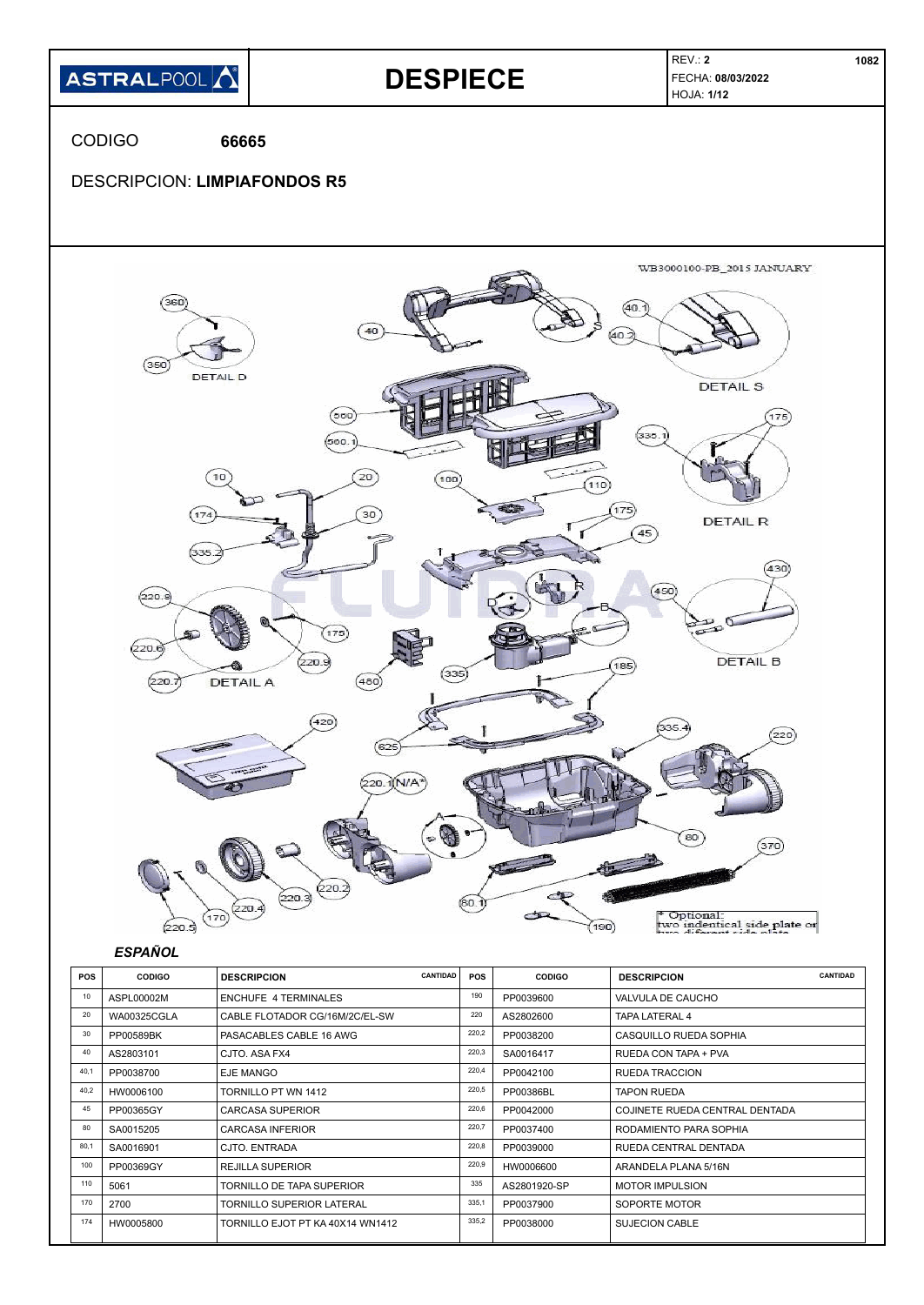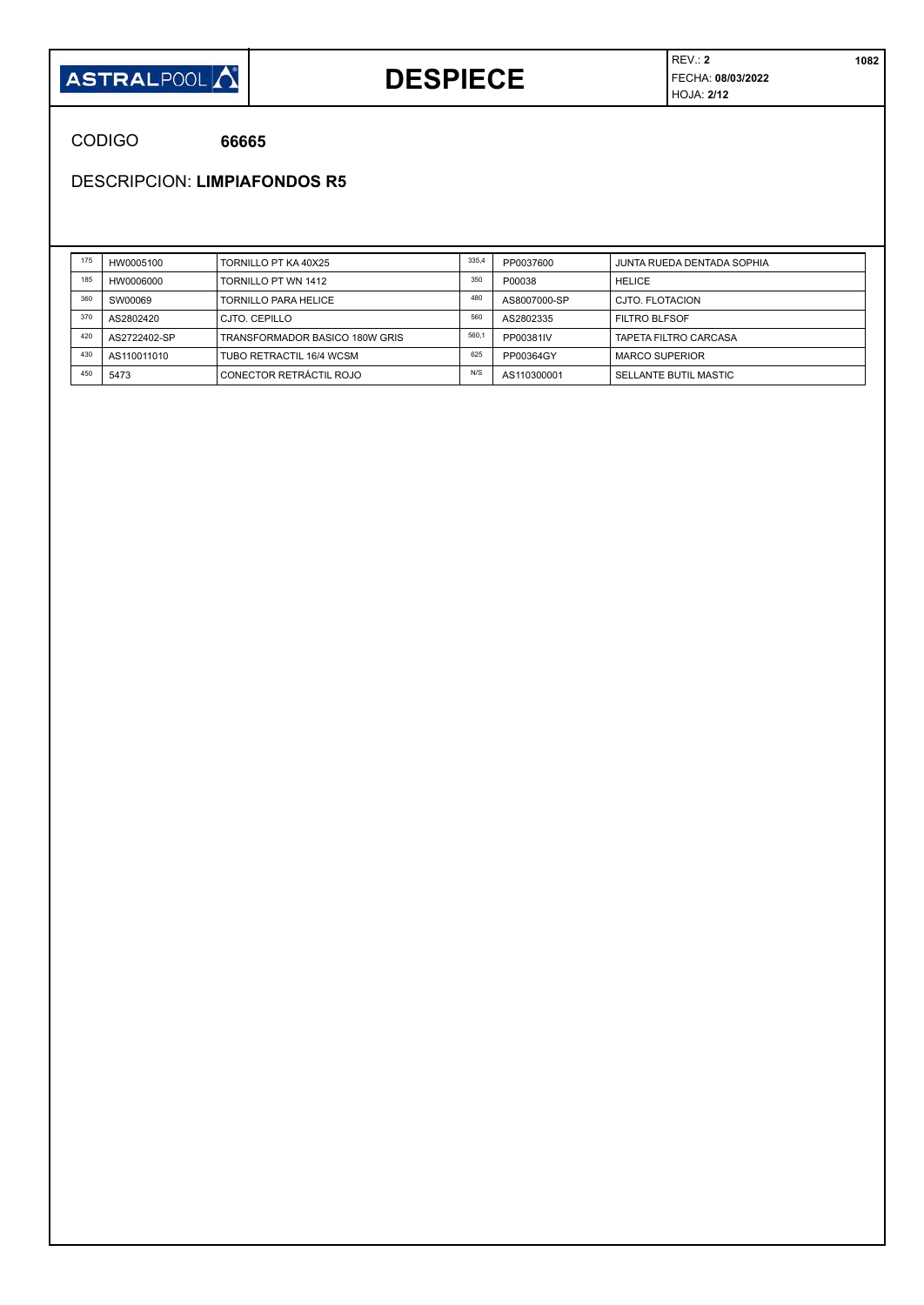

### **DESPIECE**

REV.: **2 1082** FECHA: **08/03/2022** HOJA: **2/12**

CODIGO **66665**

DESCRIPCION: **LIMPIAFONDOS R5**

| 175 | HW0005100    | TORNILLO PT KA 40X25           | 335,4 | PP0037600    | JUNTA RUEDA DENTADA SOPHIA |
|-----|--------------|--------------------------------|-------|--------------|----------------------------|
| 185 | HW0006000    | TORNILLO PT WN 1412            | 350   | P00038       | <b>HELICE</b>              |
| 360 | SW00069      | TORNILLO PARA HELICE           | 480   | AS8007000-SP | CJTO. FLOTACION            |
| 370 | AS2802420    | CJTO, CEPILLO                  | 560   | AS2802335    | <b>FILTRO BLFSOF</b>       |
| 420 | AS2722402-SP | TRANSFORMADOR BASICO 180W GRIS | 560,1 | PP00381IV    | TAPETA FILTRO CARCASA      |
| 430 | AS110011010  | TUBO RETRACTIL 16/4 WCSM       | 625   | PP00364GY    | <b>MARCO SUPERIOR</b>      |
| 450 | 5473         | CONECTOR RETRÁCTIL ROJO        | N/S   | AS110300001  | SELLANTE BUTIL MASTIC      |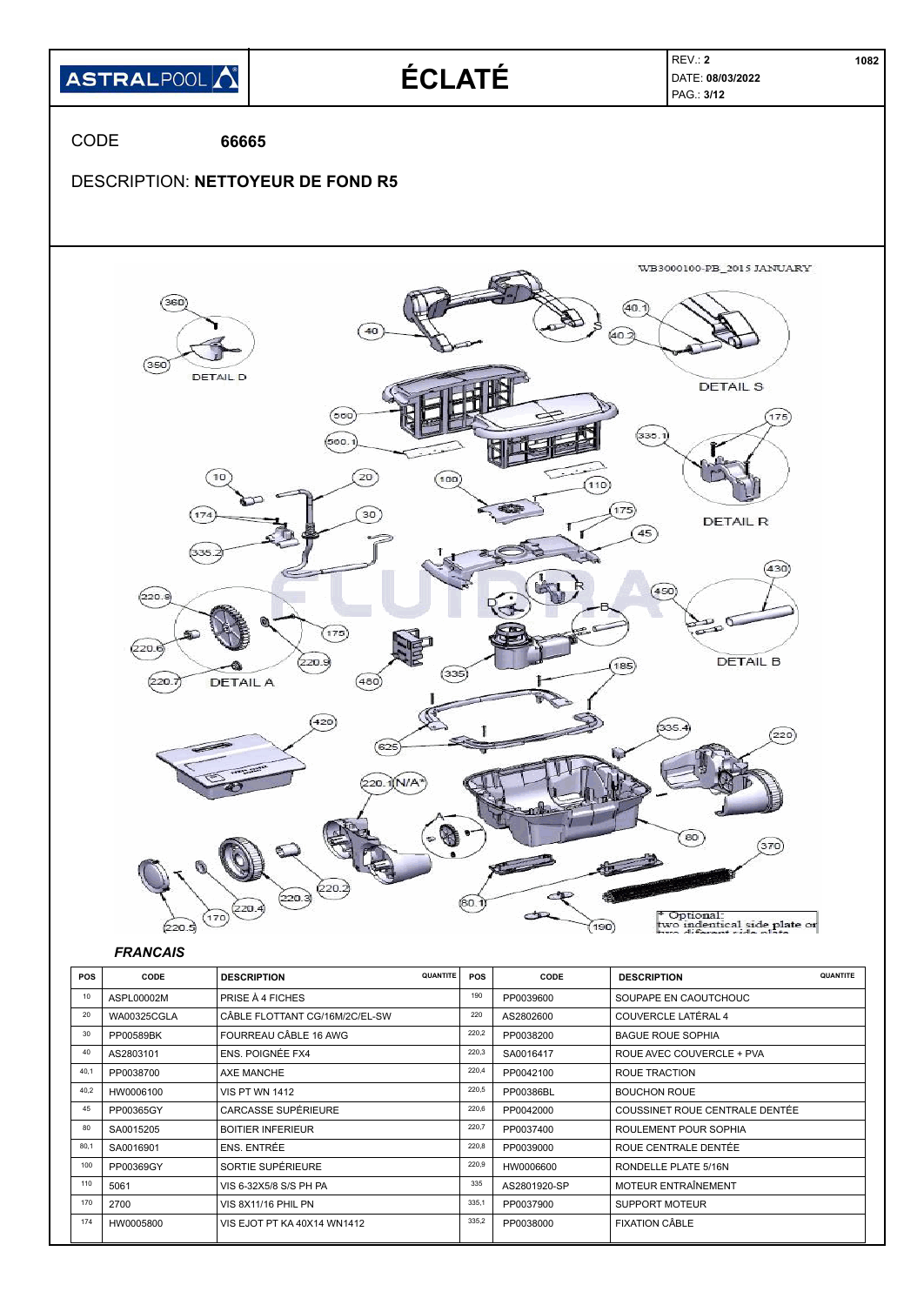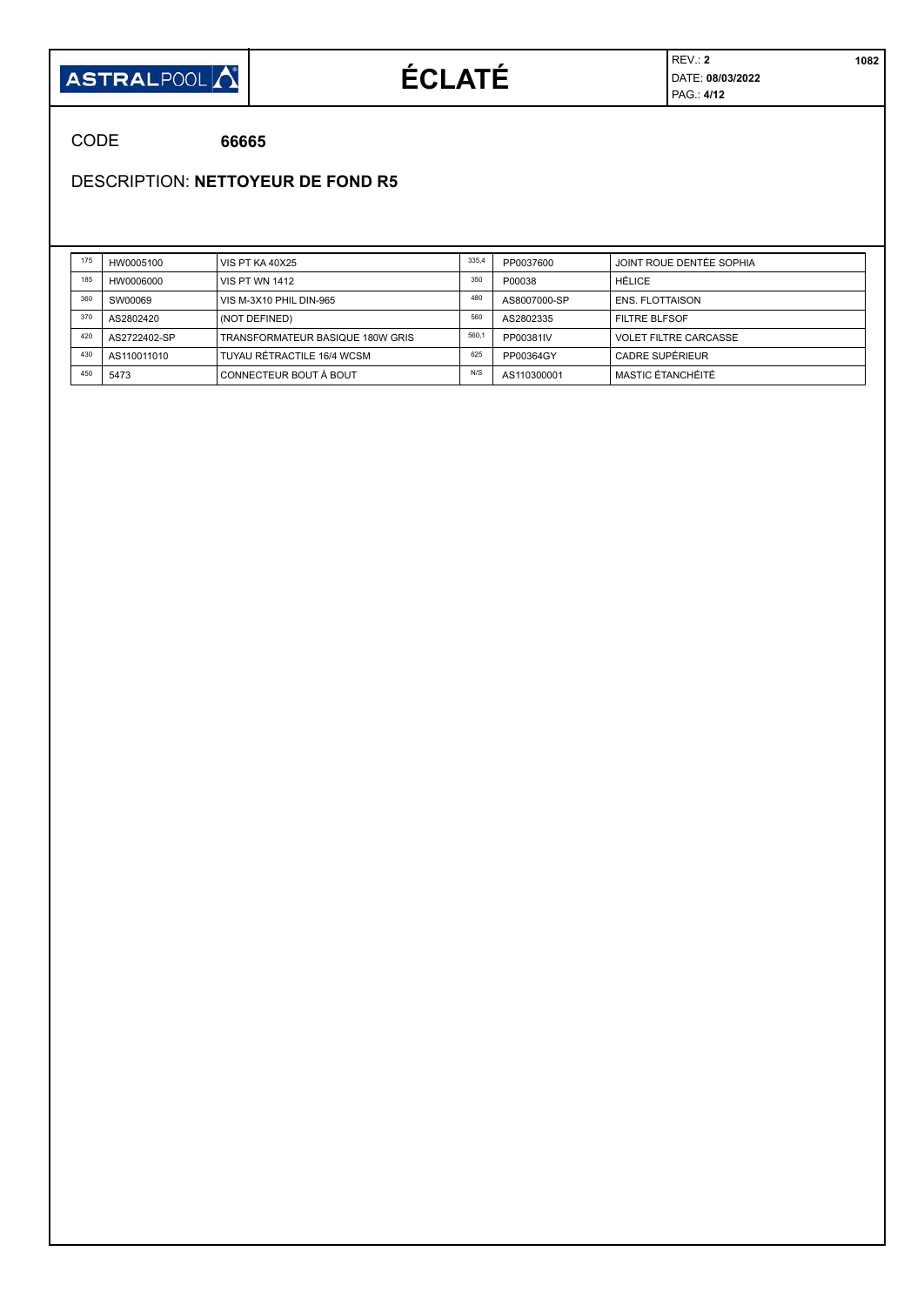

# **ÉCLATÉ**

REV.: **2 1082** DATE: **08/03/2022** PAG.: **4/12**

CODE **66665**

DESCRIPTION: **NETTOYEUR DE FOND R5**

| 175 | HW0005100    | <b>VIS PT KA 40X25</b>           | 335,4 | PP0037600    | JOINT ROUE DENTÉE SOPHIA     |
|-----|--------------|----------------------------------|-------|--------------|------------------------------|
| 185 | HW0006000    | <b>VIS PT WN 1412</b>            | 350   | P00038       | HÉLICE                       |
| 360 | SW00069      | VIS M-3X10 PHIL DIN-965          | 480   | AS8007000-SP | <b>ENS. FLOTTAISON</b>       |
| 370 | AS2802420    | (NOT DEFINED)                    | 560   | AS2802335    | <b>FILTRE BLFSOF</b>         |
| 420 | AS2722402-SP | TRANSFORMATEUR BASIQUE 180W GRIS | 560,1 | PP00381IV    | <b>VOLET FILTRE CARCASSE</b> |
| 430 | AS110011010  | TUYAU RÉTRACTILE 16/4 WCSM       | 625   | PP00364GY    | CADRE SUPERIEUR              |
| 450 | 5473         | CONNECTEUR BOUT À BOUT           | N/S   | AS110300001  | MASTIC ÉTANCHÉITÉ            |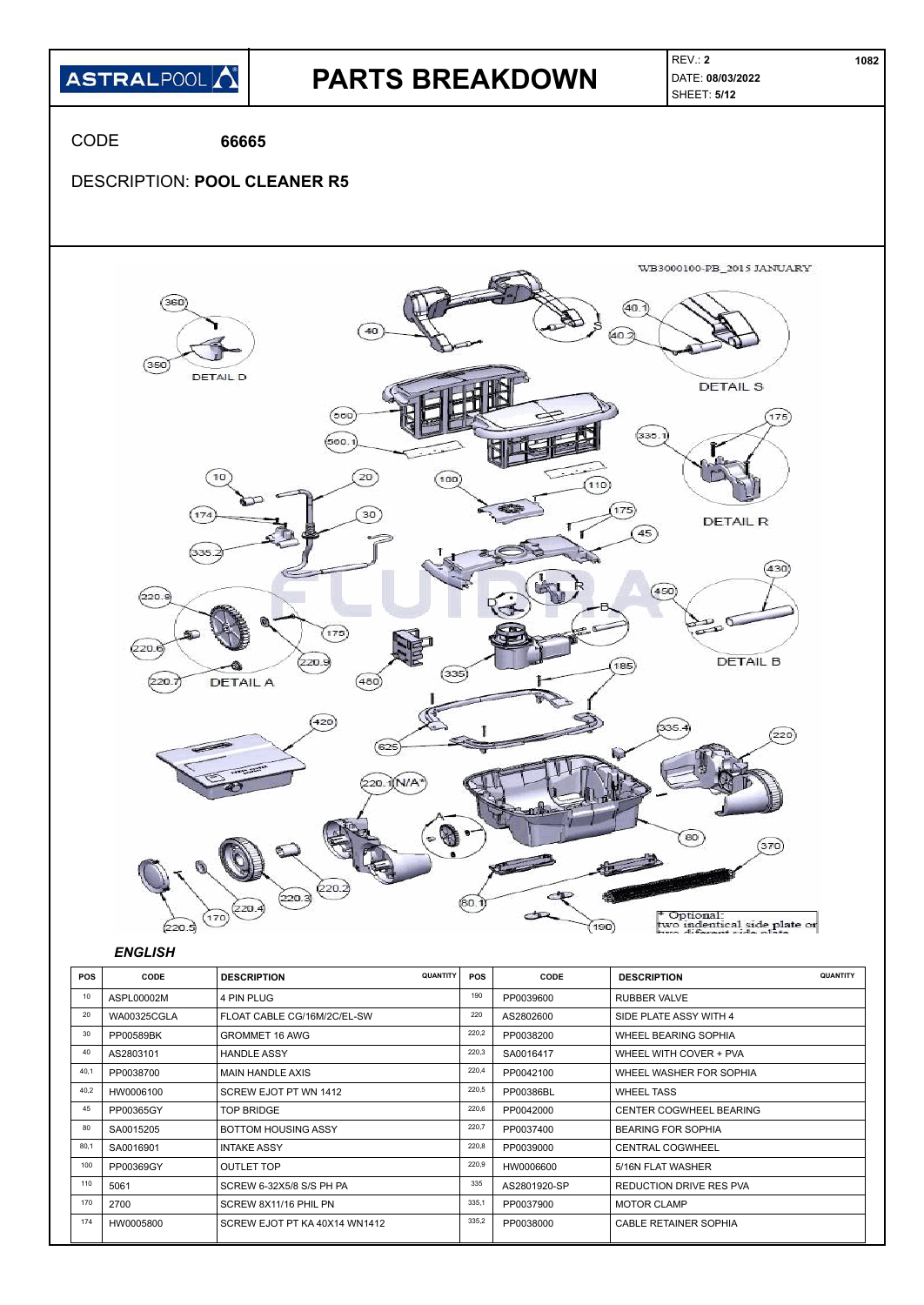

| 10   | ASPL00002M         | 4 PIN PLUG                    | 190   | PP0039600    | RUBBER VALVE                   |
|------|--------------------|-------------------------------|-------|--------------|--------------------------------|
| 20   | <b>WA00325CGLA</b> | FLOAT CABLE CG/16M/2C/EL-SW   | 220   | AS2802600    | SIDE PLATE ASSY WITH 4         |
| 30   | PP00589BK          | <b>GROMMET 16 AWG</b>         | 220,2 | PP0038200    | WHEEL BEARING SOPHIA           |
| 40   | AS2803101          | <b>HANDLE ASSY</b>            | 220,3 | SA0016417    | WHEEL WITH COVER + PVA         |
| 40,1 | PP0038700          | <b>MAIN HANDLE AXIS</b>       | 220,4 | PP0042100    | WHEEL WASHER FOR SOPHIA        |
| 40,2 | HW0006100          | SCREW EJOT PT WN 1412         | 220,5 | PP00386BL    | <b>WHEEL TASS</b>              |
| 45   | PP00365GY          | <b>TOP BRIDGE</b>             | 220,6 | PP0042000    | <b>CENTER COGWHEEL BEARING</b> |
| 80   | SA0015205          | <b>BOTTOM HOUSING ASSY</b>    | 220,7 | PP0037400    | <b>BEARING FOR SOPHIA</b>      |
| 80,1 | SA0016901          | <b>INTAKE ASSY</b>            | 220,8 | PP0039000    | <b>CENTRAL COGWHEEL</b>        |
| 100  | PP00369GY          | <b>OUTLET TOP</b>             | 220,9 | HW0006600    | 5/16N FLAT WASHER              |
| 110  | 5061               | SCREW 6-32X5/8 S/S PH PA      | 335   | AS2801920-SP | <b>REDUCTION DRIVE RES PVA</b> |
| 170  | 2700               | SCREW 8X11/16 PHIL PN         | 335,1 | PP0037900    | <b>MOTOR CLAMP</b>             |
| 174  | HW0005800          | SCREW EJOT PT KA 40X14 WN1412 | 335,2 | PP0038000    | <b>CABLE RETAINER SOPHIA</b>   |
|      |                    |                               |       |              |                                |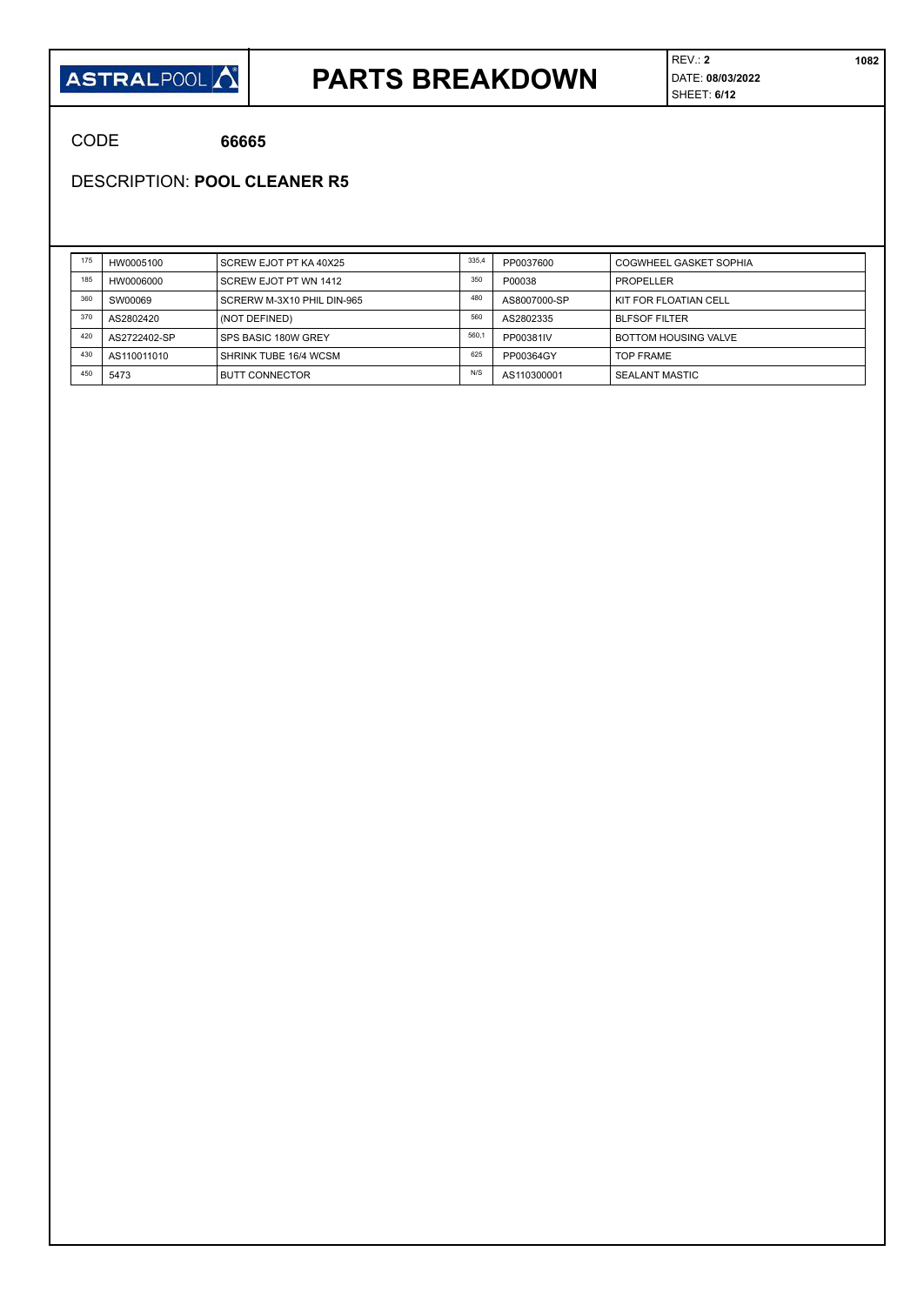#### **ASTRALPOOL**

### **PARTS BREAKDOWN**

REV.: **2 1082** DATE: **08/03/2022** SHEET: **6/12**

CODE **66665**

DESCRIPTION: **POOL CLEANER R5**

| 175 | HW0005100    | SCREW EJOT PT KA 40X25     | 335,4 | PP0037600    | <b>COGWHEEL GASKET SOPHIA</b> |
|-----|--------------|----------------------------|-------|--------------|-------------------------------|
| 185 | HW0006000    | SCREW EJOT PT WN 1412      | 350   | P00038       | PROPELLER                     |
| 360 | SW00069      | SCRERW M-3X10 PHIL DIN-965 | 480   | AS8007000-SP | KIT FOR FLOATIAN CELL         |
| 370 | AS2802420    | (NOT DEFINED)              | 560   | AS2802335    | <b>BLFSOF FILTER</b>          |
| 420 | AS2722402-SP | SPS BASIC 180W GREY        | 560.  | PP00381IV    | <b>BOTTOM HOUSING VALVE</b>   |
| 430 | AS110011010  | SHRINK TUBE 16/4 WCSM      | 625   | PP00364GY    | <b>TOP FRAME</b>              |
| 450 | 5473         | <b>BUTT CONNECTOR</b>      | N/S   | AS110300001  | <b>SEALANT MASTIC</b>         |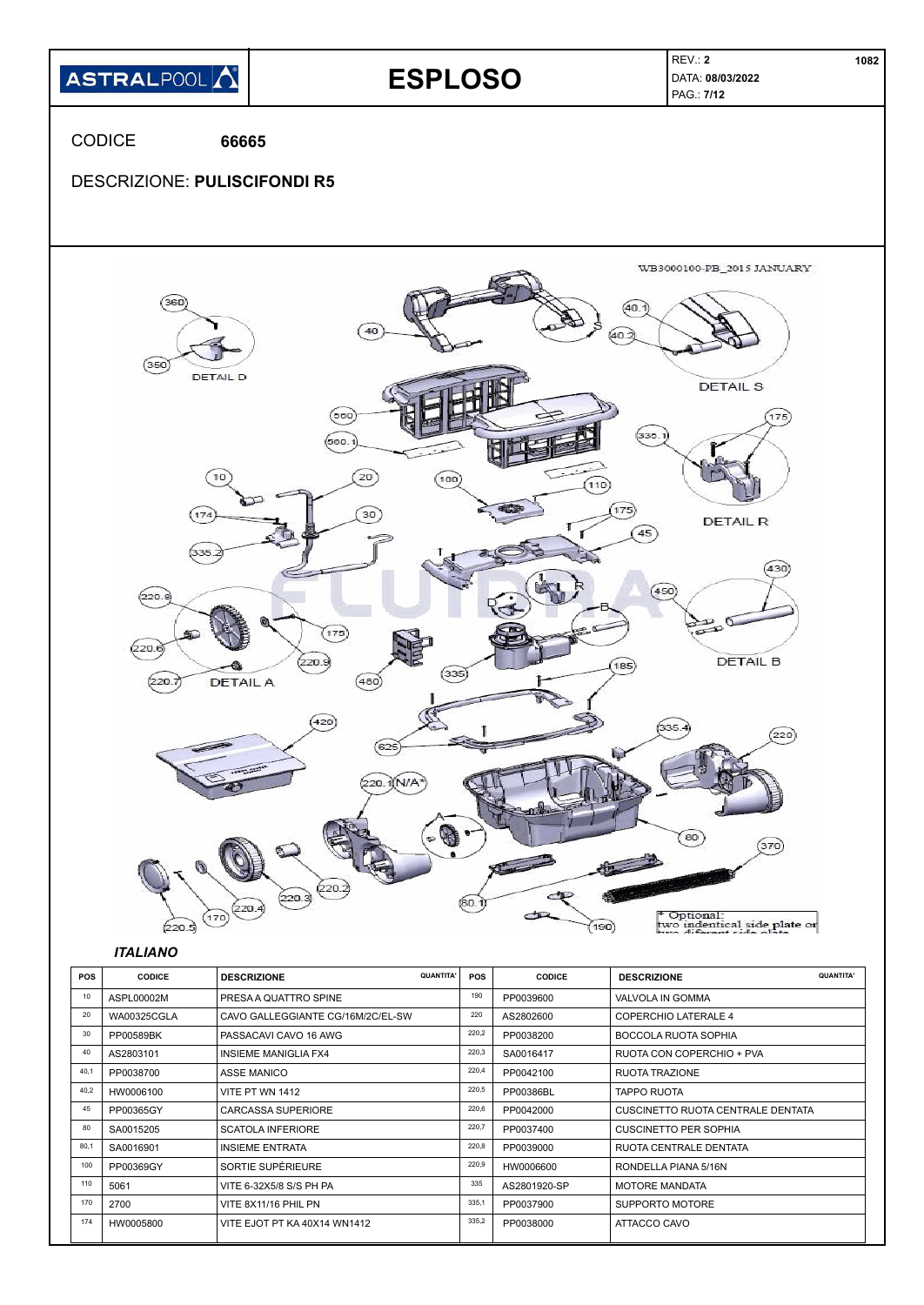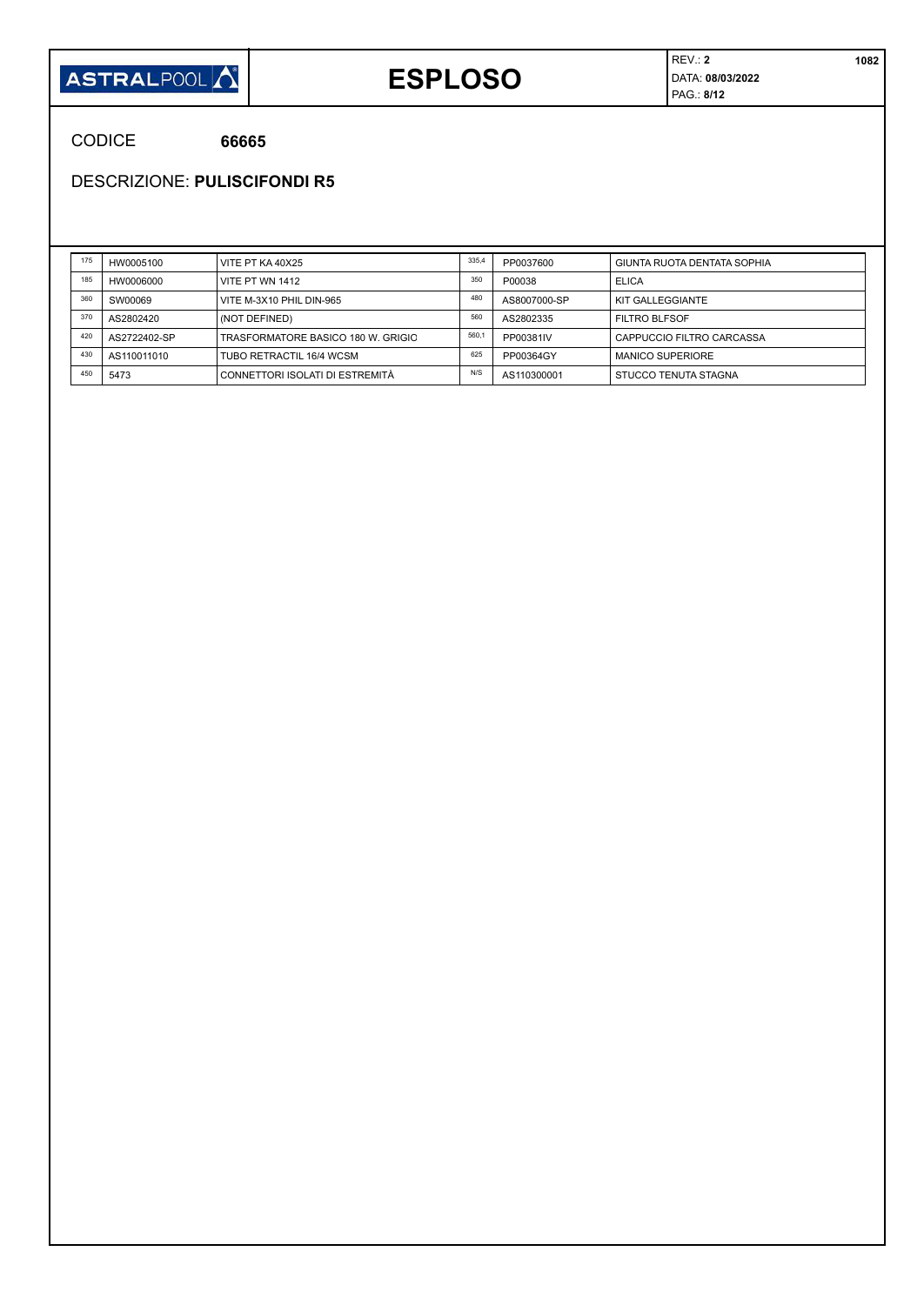

## **ESPLOSO**

REV.: **2 1082** DATA: **08/03/2022** PAG.: **8/12**

CODICE **66665**

DESCRIZIONE: **PULISCIFONDI R5**

| 175 | HW0005100    | VITE PT KA 40X25                   | 335,4 | PP0037600    | GIUNTA RUOTA DENTATA SOPHIA |
|-----|--------------|------------------------------------|-------|--------------|-----------------------------|
| 185 | HW0006000    | VITE PT WN 1412                    | 350   | P00038       | ELICA                       |
| 360 | SW00069      | VITE M-3X10 PHIL DIN-965           | 480   | AS8007000-SP | KIT GALLEGGIANTE            |
| 370 | AS2802420    | (NOT DEFINED)                      | 560   | AS2802335    | <b>FILTRO BLFSOF</b>        |
| 420 | AS2722402-SP | TRASFORMATORE BASICO 180 W. GRIGIO | 560,1 | PP00381IV    | CAPPUCCIO FILTRO CARCASSA   |
| 430 | AS110011010  | TUBO RETRACTIL 16/4 WCSM           | 625   | PP00364GY    | <b>MANICO SUPERIORE</b>     |
| 450 | 5473         | CONNETTORI ISOLATI DI ESTREMITÀ    | N/S   | AS110300001  | STUCCO TENUTA STAGNA        |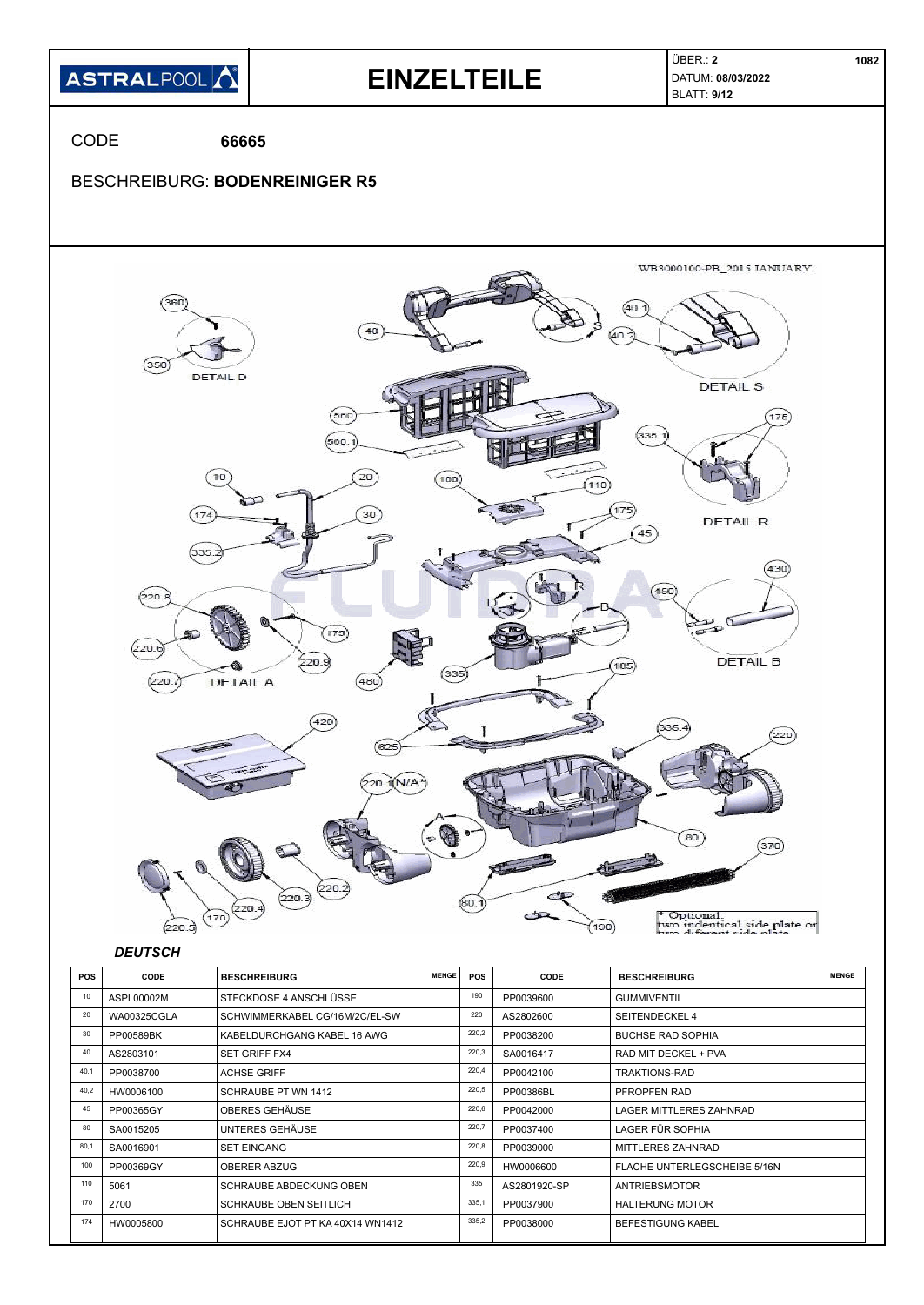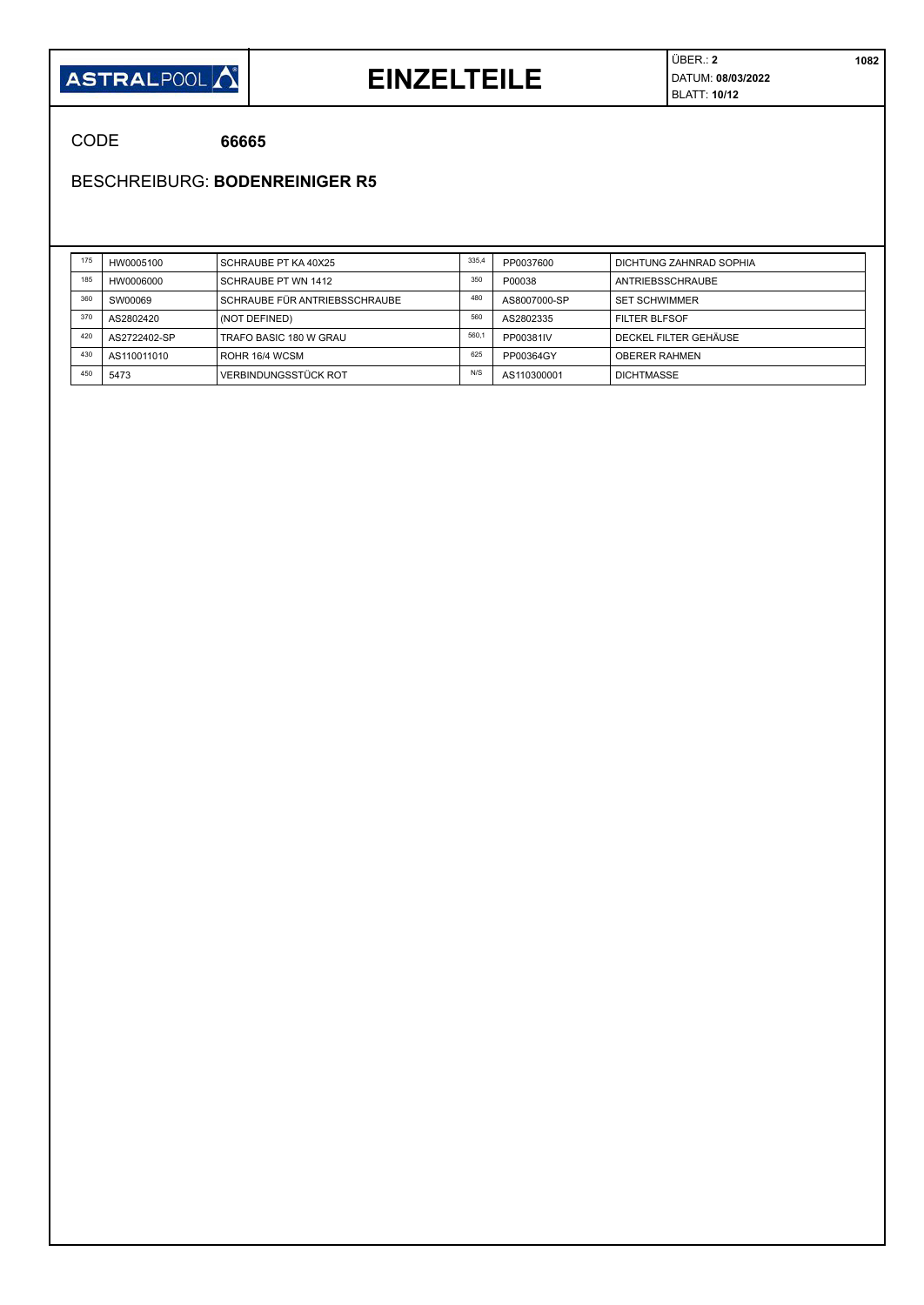

#### **EINZELTEILE**

ÜBER.: **2 1082** DATUM: **08/03/2022** BLATT: **10/12**

CODE **66665**

BESCHREIBURG: **BODENREINIGER R5**

| 175 | HW0005100    | SCHRAUBE PT KA 40X25          | 335,4 | PP0037600    | DICHTUNG ZAHNRAD SOPHIA |
|-----|--------------|-------------------------------|-------|--------------|-------------------------|
| 185 | HW0006000    | SCHRAUBE PT WN 1412           | 350   | P00038       | ANTRIEBSSCHRAUBE        |
| 360 | SW00069      | SCHRAUBE FÜR ANTRIEBSSCHRAUBE | 480   | AS8007000-SP | <b>SET SCHWIMMER</b>    |
| 370 | AS2802420    | (NOT DEFINED)                 | 560   | AS2802335    | <b>FILTER BLFSOF</b>    |
| 420 | AS2722402-SP | TRAFO BASIC 180 W GRAU        | 560.  | PP00381IV    | DECKEL FILTER GEHÄUSE   |
| 430 | AS110011010  | ROHR 16/4 WCSM                | 625   | PP00364GY    | <b>OBERER RAHMEN</b>    |
| 450 | 5473         | <b>VERBINDUNGSSTÜCK ROT</b>   | N/S   | AS110300001  | <b>DICHTMASSE</b>       |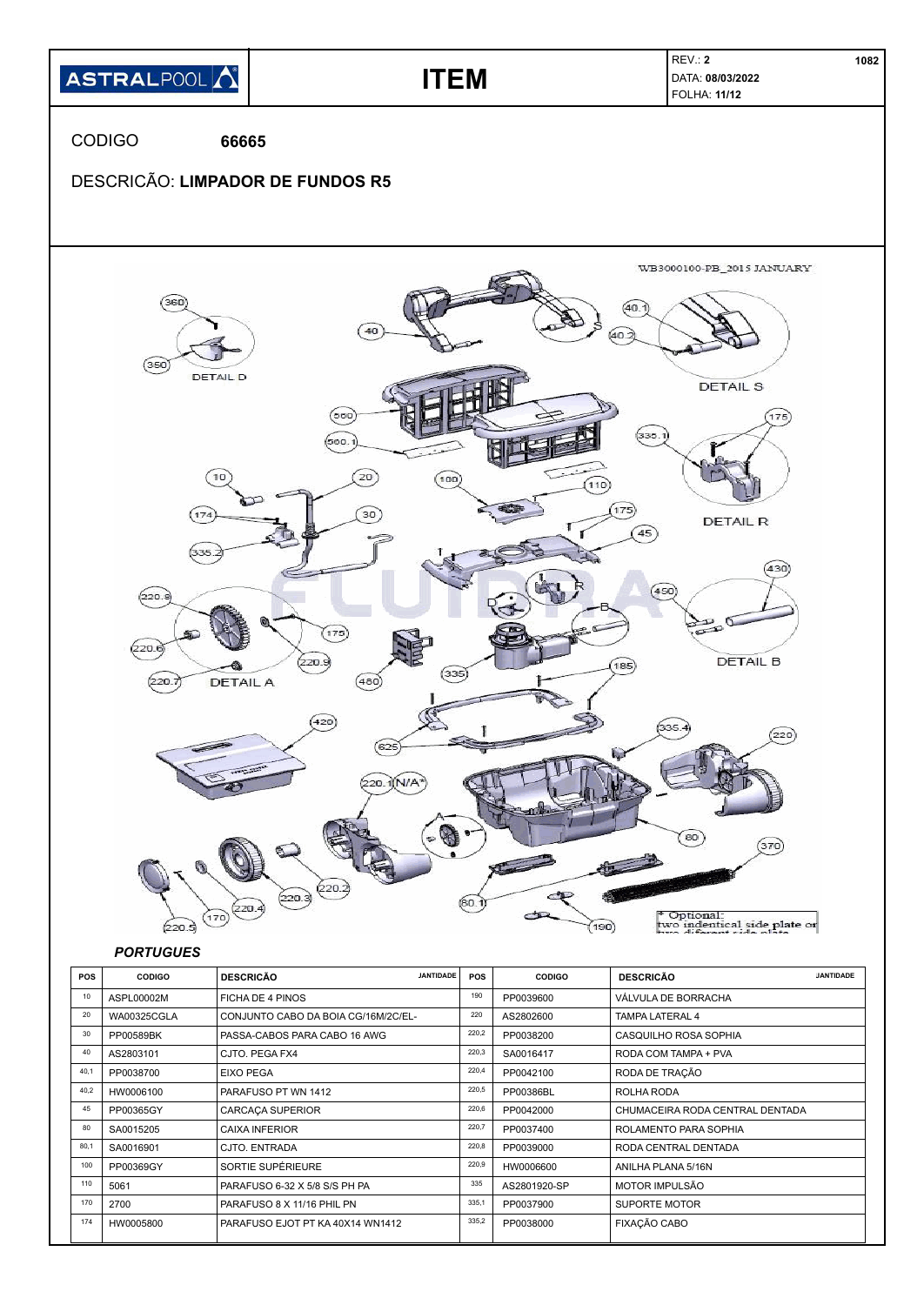